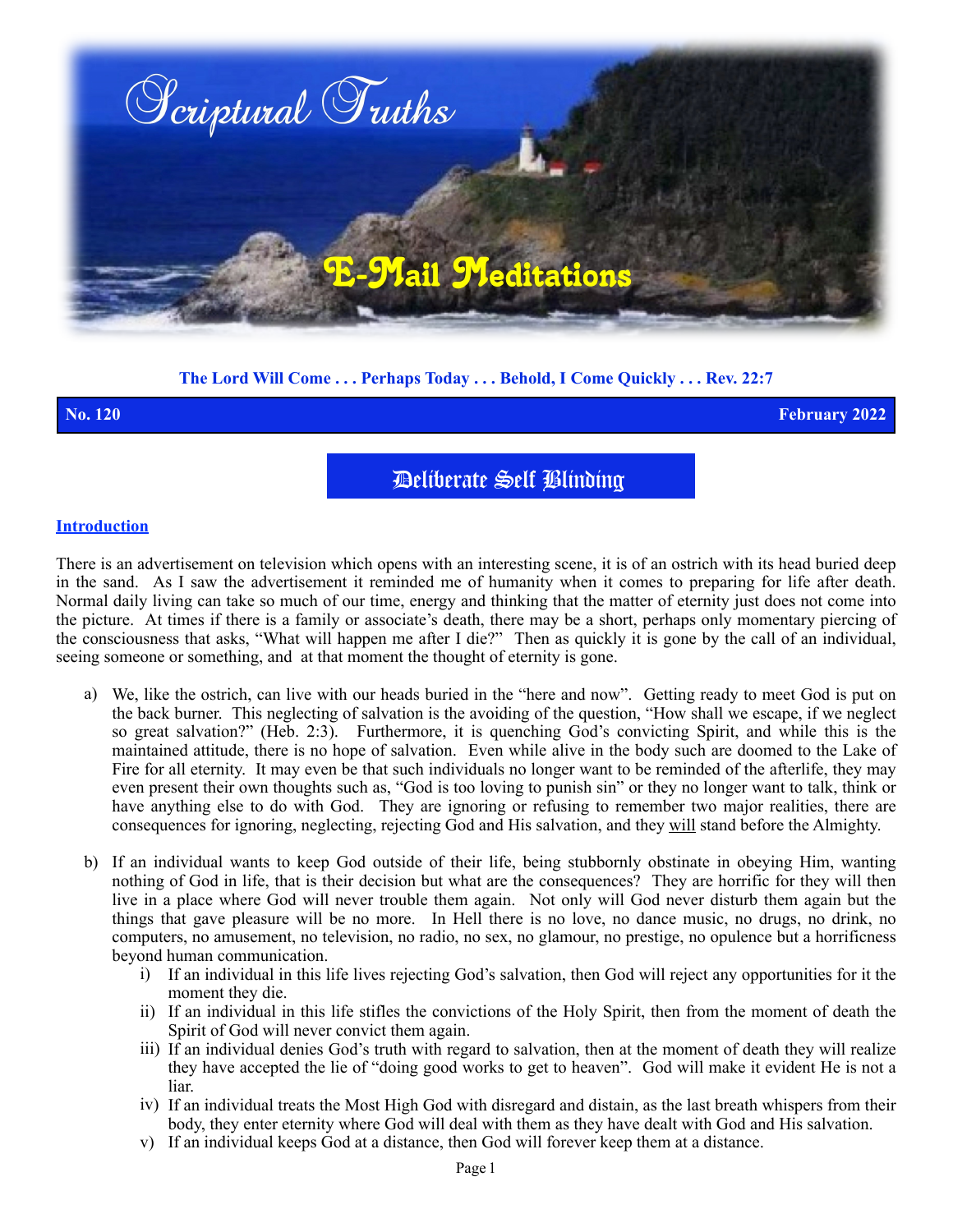

### **The Lord Will Come . . . Perhaps Today . . . Behold, I Come Quickly . . . Rev. 22:7**

**No. 120 February 2022**

Deliberate Self Blinding

#### **Introduction**

There is an advertisement on television which opens with an interesting scene, it is of an ostrich with its head buried deep in the sand. As I saw the advertisement it reminded me of humanity when it comes to preparing for life after death. Normal daily living can take so much of our time, energy and thinking that the matter of eternity just does not come into the picture. At times if there is a family or associate's death, there may be a short, perhaps only momentary piercing of the consciousness that asks, "What will happen me after I die?" Then as quickly it is gone by the call of an individual, seeing someone or something, and at that moment the thought of eternity is gone.

- a) We, like the ostrich, can live with our heads buried in the "here and now". Getting ready to meet God is put on the back burner. This neglecting of salvation is the avoiding of the question, "How shall we escape, if we neglect so great salvation?" (Heb. 2:3). Furthermore, it is quenching God's convicting Spirit, and while this is the maintained attitude, there is no hope of salvation. Even while alive in the body such are doomed to the Lake of Fire for all eternity. It may even be that such individuals no longer want to be reminded of the afterlife, they may even present their own thoughts such as, "God is too loving to punish sin" or they no longer want to talk, think or have anything else to do with God. They are ignoring or refusing to remember two major realities, there are consequences for ignoring, neglecting, rejecting God and His salvation, and they will stand before the Almighty.
- b) If an individual wants to keep God outside of their life, being stubbornly obstinate in obeying Him, wanting nothing of God in life, that is their decision but what are the consequences? They are horrific for they will then live in a place where God will never trouble them again. Not only will God never disturb them again but the things that gave pleasure will be no more. In Hell there is no love, no dance music, no drugs, no drink, no computers, no amusement, no television, no radio, no sex, no glamour, no prestige, no opulence but a horrificness beyond human communication.
	- i) If an individual in this life lives rejecting God's salvation, then God will reject any opportunities for it the moment they die.
	- ii) If an individual in this life stifles the convictions of the Holy Spirit, then from the moment of death the Spirit of God will never convict them again.
	- iii) If an individual denies God's truth with regard to salvation, then at the moment of death they will realize they have accepted the lie of "doing good works to get to heaven". God will make it evident He is not a liar.
	- iv) If an individual treats the Most High God with disregard and distain, as the last breath whispers from their body, they enter eternity where God will deal with them as they have dealt with God and His salvation.
	- v) If an individual keeps God at a distance, then God will forever keep them at a distance.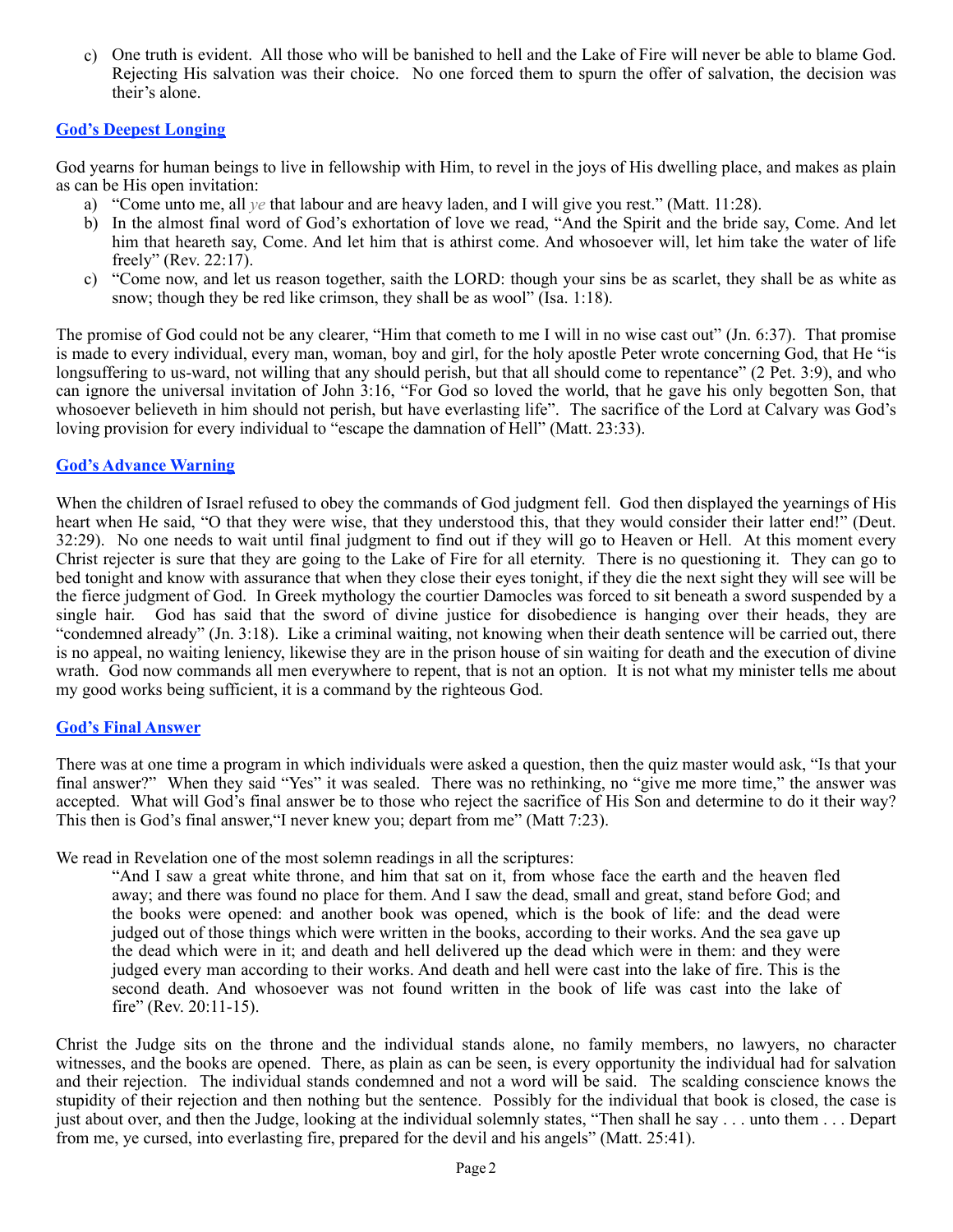c) One truth is evident. All those who will be banished to hell and the Lake of Fire will never be able to blame God. Rejecting His salvation was their choice. No one forced them to spurn the offer of salvation, the decision was their's alone.

### **God's Deepest Longing**

God yearns for human beings to live in fellowship with Him, to revel in the joys of His dwelling place, and makes as plain as can be His open invitation:

- a) "Come unto me, all *ye* that labour and are heavy laden, and I will give you rest." (Matt. 11:28).
- b) In the almost final word of God's exhortation of love we read, "And the Spirit and the bride say, Come. And let him that heareth say, Come. And let him that is athirst come. And whosoever will, let him take the water of life freely" (Rev. 22:17).
- c) "Come now, and let us reason together, saith the LORD: though your sins be as scarlet, they shall be as white as snow; though they be red like crimson, they shall be as wool" (Isa. 1:18).

The promise of God could not be any clearer, "Him that cometh to me I will in no wise cast out" (Jn. 6:37). That promise is made to every individual, every man, woman, boy and girl, for the holy apostle Peter wrote concerning God, that He "is longsuffering to us-ward, not willing that any should perish, but that all should come to repentance" (2 Pet. 3:9), and who can ignore the universal invitation of John 3:16, "For God so loved the world, that he gave his only begotten Son, that whosoever believeth in him should not perish, but have everlasting life". The sacrifice of the Lord at Calvary was God's loving provision for every individual to "escape the damnation of Hell" (Matt. 23:33).

## **God's Advance Warning**

When the children of Israel refused to obey the commands of God judgment fell. God then displayed the yearnings of His heart when He said, "O that they were wise, that they understood this, that they would consider their latter end!" (Deut. 32:29). No one needs to wait until final judgment to find out if they will go to Heaven or Hell. At this moment every Christ rejecter is sure that they are going to the Lake of Fire for all eternity. There is no questioning it. They can go to bed tonight and know with assurance that when they close their eyes tonight, if they die the next sight they will see will be the fierce judgment of God. In Greek mythology the courtier Damocles was forced to sit beneath a sword suspended by a single hair. God has said that the sword of divine justice for disobedience is hanging over their heads, they are "condemned already" (Jn. 3:18). Like a criminal waiting, not knowing when their death sentence will be carried out, there is no appeal, no waiting leniency, likewise they are in the prison house of sin waiting for death and the execution of divine wrath. God now commands all men everywhere to repent, that is not an option. It is not what my minister tells me about my good works being sufficient, it is a command by the righteous God.

### **God's Final Answer**

There was at one time a program in which individuals were asked a question, then the quiz master would ask, "Is that your final answer?" When they said "Yes" it was sealed. There was no rethinking, no "give me more time," the answer was accepted. What will God's final answer be to those who reject the sacrifice of His Son and determine to do it their way? This then is God's final answer,"I never knew you; depart from me" (Matt 7:23).

We read in Revelation one of the most solemn readings in all the scriptures:

"And I saw a great white throne, and him that sat on it, from whose face the earth and the heaven fled away; and there was found no place for them. And I saw the dead, small and great, stand before God; and the books were opened: and another book was opened, which is the book of life: and the dead were judged out of those things which were written in the books, according to their works. And the sea gave up the dead which were in it; and death and hell delivered up the dead which were in them: and they were judged every man according to their works. And death and hell were cast into the lake of fire. This is the second death. And whosoever was not found written in the book of life was cast into the lake of fire" (Rev. 20:11-15).

Christ the Judge sits on the throne and the individual stands alone, no family members, no lawyers, no character witnesses, and the books are opened. There, as plain as can be seen, is every opportunity the individual had for salvation and their rejection. The individual stands condemned and not a word will be said. The scalding conscience knows the stupidity of their rejection and then nothing but the sentence. Possibly for the individual that book is closed, the case is just about over, and then the Judge, looking at the individual solemnly states, "Then shall he say . . . unto them . . . Depart from me, ye cursed, into everlasting fire, prepared for the devil and his angels" (Matt. 25:41).